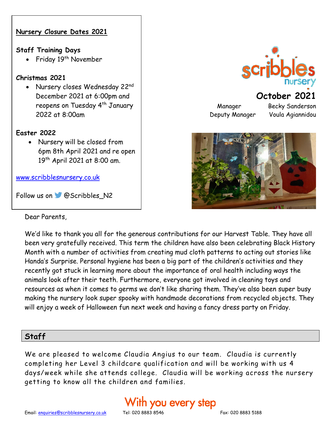

We'd like to thank you all for the generous contributions for our Harvest Table. They have all been very gratefully received. This term the children have also been celebrating Black History Month with a number of activities from creating mud cloth patterns to acting out stories like Handa's Surprise. Personal hygiene has been a big part of the children's activities and they recently got stuck in learning more about the importance of oral health including ways the animals look after their teeth. Furthermore, everyone got involved in cleaning toys and resources as when it comes to germs we don't like sharing them. They've also been super busy making the nursery look super spooky with handmade decorations from recycled objects. They will enjoy a week of Halloween fun next week and having a fancy dress party on Friday.

### **Staff**

We are pleased to welcome Claudia Angius to our team. Claudia is currently completing her Level 3 childcare qualification and will be working with us 4 days/week while she attends college. Claudia will be working across the nursery getting to know all the children and families.





## **October 2021**

Deputy Manager Voula Agiannidou

Manager Becky Sanderson

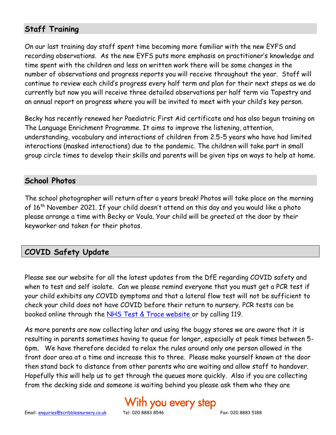### **Staff Training**

On our last training day staff spent time becoming more familiar with the new EYFS and recording observations. As the new EYFS puts more emphasis on practitioner's knowledge and time spent with the children and less on written work there will be some changes in the number of observations and progress reports you will receive throughout the year. Staff will continue to review each child's progress every half term and plan for their next steps as we do currently but now you will receive three detailed observations per half term via Tapestry and an annual report on progress where you will be invited to meet with your child's key person.

Becky has recently renewed her Paediatric First Aid certificate and has also begun training on The Language Enrichment Programme. It aims to improve the listening, attention, understanding, vocabulary and interactions of children from 2.5-5 years who have had limited interactions (masked interactions) due to the pandemic. The children will take part in small group circle times to develop their skills and parents will be given tips on ways to help at home.

#### **School Photos**

The school photographer will return after a years break! Photos will take place on the morning of 16th November 2021. If your child doesn't attend on this day and you would like a photo please arrange a time with Becky or Voula. Your child will be greeted at the door by their keyworker and taken for their photos.

### **COVID Safety Update**

Please see our website for all the latest updates from the DfE regarding COVID safety and when to test and self isolate. Can we please remind everyone that you must get a PCR test if your child exhibits any COVID symptoms and that a lateral flow test will not be sufficient to check your child does not have COVID before their return to nursery. PCR tests can be booked online through the [NHS Test & Trace website](https://www.nhs.uk/conditions/coronavirus-covid-19/testing/) or by calling 119.

As more parents are now collecting later and using the buggy stores we are aware that it is resulting in parents sometimes having to queue for longer, especially at peak times between 5- 6pm. We have therefore decided to relax the rules around only one person allowed in the front door area at a time and increase this to three. Please make yourself known at the door then stand back to distance from other parents who are waiting and allow staff to handover. Hopefully this will help us to get through the queues more quickly. Also if you are collecting from the decking side and someone is waiting behind you please ask them who they are

# 'ith you every step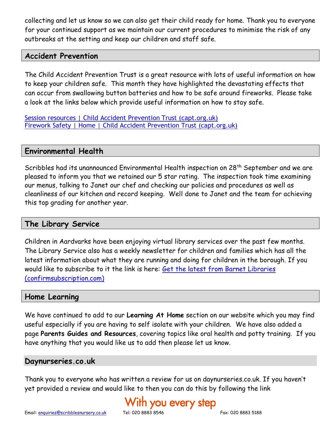collecting and let us know so we can also get their child ready for home. Thank you to everyone for your continued support as we maintain our current procedures to minimise the risk of any outbreaks at the setting and keep our children and staff safe.

#### **Accident Prevention**

The Child Accident Prevention Trust is a great resource with lots of useful information on how to keep your children safe. This month they have highlighted the devastating effects that can occur from swallowing button batteries and how to be safe around fireworks. Please take a look at the links below which provide useful information on how to stay safe.

[Session resources | Child Accident Prevention Trust \(capt.org.uk\)](https://www.capt.org.uk/session-resources?mc_cid=5fde63c324&mc_eid=90eae35a60) [Firework Safety | Home | Child Accident Prevention Trust \(capt.org.uk\)](https://www.capt.org.uk/firework-safety)

#### **Environmental Health**

Scribbles had its unannounced Environmental Health inspection on 28<sup>th</sup> September and we are pleased to inform you that we retained our 5 star rating. The inspection took time examining our menus, talking to Janet our chef and checking our policies and procedures as well as cleanliness of our kitchen and record keeping. Well done to Janet and the team for achieving this top grading for another year.

#### **The Library Service**

Children in Aardvarks have been enjoying virtual library services over the past few months. The Library Service also has a weekly newsletter for children and families which has all the latest information about what they are running and doing for children in the borough. If you would like to subscribe to it the link is here: Get the latest from Barnet Libraries [\(confirmsubscription.com\)](https://confirmsubscription.com/h/d/A7D92DE4086ACF64)

#### **Home Learning**

We have continued to add to our **Learning At Home** section on our website which you may find useful especially if you are having to self isolate with your children. We have also added a page **Parents Guides and Resources**, covering topics like oral health and potty training. If you have anything that you would like us to add then please let us know.

#### **Daynurseries.co.uk**

Thank you to everyone who has written a review for us on daynurseries.co.uk. If you haven't yet provided a review and would like to then you can do this by following the link

# ith you every step